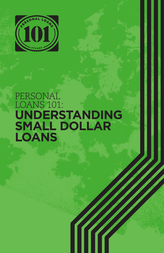

# **PERSONAL** Loans 101: **Understanding Small Dollar Loans**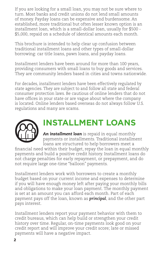If you are looking for a small loan, you may not be sure where to turn. Most banks and credit unions do not lend small amounts of money. Payday loans can be expensive and burdensome. An established, more traditional but often lesser known option is an installment loan, which is a small-dollar loan, usually for \$500 - \$5,000, repaid on a schedule of identical amounts each month.

This brochure is intended to help clear up confusion between traditional installment loans and other types of small-dollar borrowing: car title loans, pawn loans, and payday loans.

Installment lenders have been around for more than 100 years, providing consumers with small loans to buy goods and services. They are community lenders based in cities and towns nationwide.

For decades, installment lenders have been effectively regulated by state agencies. They are subject to and follow all state and federal consumer protection laws. Be cautious of online lenders that do not have offices in your state or are vague about where the company is located. Online lenders based overseas do not always follow U.S. regulations and many are scams.



## **Installment Loans**

*An installment loan* is repaid in equal monthly payments or installments. Traditional installment loans are structured to help borrowers meet a

financial need within their budget, repay the loan in equal monthly payments and build a positive credit history. Installment loans do not charge penalties for early repayment, or prepayment, and do not require large one-time "balloon" payments.

Installment lenders work with borrowers to create a monthly budget based on your current income and expenses to determine if you will have enough money left after paying your monthly bills and obligations to make your loan payment. The monthly payment is set at an amount you can afford each month. Part of each payment pays off the loan, known as *principal*, and the other part pays interest.

Installment lenders report your payment behavior with them to credit bureaus, which can help build or strengthen your credit history over time. Regular, on-time payments look good on your credit report and will improve your credit score; late or missed payments will have a negative impact.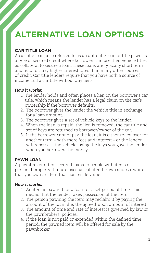# **Alternative Loan Options**

### **Car Title Loan**

A car title loan, also referred to as an auto title loan or title pawn, is a type of secured credit where borrowers can use their vehicle titles as collateral to secure a loan. These loans are typically short term and tend to carry higher interest rates than many other sources of credit. Car title lenders require that you have both a source of income and a car title without any liens.

#### *How it works:*

- 1 The lender holds and often places a lien on the borrower's car title, which means the lender has a legal claim on the car's ownership if the borrower defaults.
- 2. The borrower gives the lender the vehicle title in exchange for a loan amount.
- 3. The borrower gives a set of vehicle keys to the lender.
- 4. When the loan is repaid, the lien is removed; the car title and set of keys are returned to borrower/owner of the car.
- 5. If the borrower cannot pay the loan, it is either rolled over for another term – with more fees and interest – or the lender will repossess the vehicle, using the keys you gave the lender when you borrowed the money.

### **Pawn Loan**

A pawnbroker offers secured loans to people with items of personal property that are used as collateral. Pawn shops require that you own an item that has resale value.

### *How it works:*

- 1. An item is pawned for a loan for a set period of time. This means that the lender takes possession of the item.
- 2. The person pawning the item may reclaim it by paying the amount of the loan plus the agreed-upon amount of interest.
- 3. The amount of time and rate of interest is governed by law or the pawnbrokers' policies.
- 4. If the loan is not paid or extended within the defined time period, the pawned item will be offered for sale by the pawnbroker.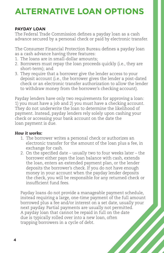# **Alternative Loan Options**

### **Payday Loan**

The Federal Trade Commission defines a payday loan as a cash advance secured by a personal check or paid by electronic transfer.

The Consumer Financial Protection Bureau defines a payday loan as a cash advance having three features:

- 1. The loans are in small-dollar amounts;
- 2. Borrowers must repay the loan proceeds quickly (i.e., they are short-term); and
- 3. They require that a borrower give the lender access to your deposit account (i.e., the borrower gives the lender a post-dated check or an electronic transfer authorization to allow the lender to withdraw money from the borrower's checking account).

Payday lenders have only two requirements for approving a loan: 1) you must have a job and 2) you must have a checking account. They do not underwrite the loan to determine the likelihood of payment. Instead, payday lenders rely solely upon cashing your check or accessing your bank account on the date the loan payment is due.

### *How it works:*

- 1. The borrower writes a personal check or authorizes an electronic transfer for the amount of the loan plus a fee, in exchange for cash.
- 2. On the specified date usually two to four weeks later the borrower either pays the loan balance with cash, extends the loan, enters an extended payment plan, or the lender deposits the borrower's check. If you do not have enough money in your account when the payday lender deposits the check, you will be responsible for any returned check or insufficient fund fees.

Payday loans do not provide a manageable payment schedule, instead requiring a large, one-time payment of the full amount borrowed plus a fee and/or interest on a set date, usually your next payday. Partial payments are usually not permitted. A payday loan that cannot be repaid in full on the date due is typically rolled over into a new loan, often trapping borrowers in a cycle of debt.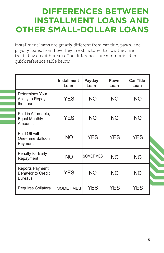## **Differences between Installment Loans and Other Small-Dollar Loans**

Installment loans are greatly different from car title, pawn, and payday loans, from how they are structured to how they are treated by credit bureaus. The differences are summarized in a quick reference table below.

|                                                                       | <b>Installment</b><br>Loan | Payday<br>Loan   | Pawn<br>Loan | <b>Car Title</b><br>Loan |
|-----------------------------------------------------------------------|----------------------------|------------------|--------------|--------------------------|
| Determines Your<br>Ability to Repay<br>the Loan                       | <b>YES</b>                 | <b>NO</b>        | <b>NO</b>    | <b>NO</b>                |
| Paid in Affordable,<br><b>Equal Monthly</b><br>Amounts                | <b>YES</b>                 | <b>NO</b>        | <b>NO</b>    | NΟ                       |
| Paid Off with<br>One-Time Balloon<br>Payment                          | <b>NO</b>                  | <b>YES</b>       | <b>YES</b>   | <b>YES</b>               |
| Penalty for Early<br>Repayment                                        | <b>NO</b>                  | <b>SOMETIMES</b> | <b>NO</b>    | <b>NO</b>                |
| <b>Reports Payment</b><br><b>Behavior to Credit</b><br><b>Bureaus</b> | <b>YES</b>                 | <b>NO</b>        | <b>NO</b>    | <b>NO</b>                |
| <b>Requires Collateral</b>                                            | <b>SOMETIMES</b>           | <b>YES</b>       | <b>YES</b>   | <b>YES</b>               |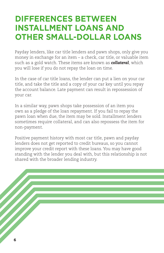## **Differences between Installment Loans and Other Small-Dollar Loans**

Payday lenders, like car title lenders and pawn shops, only give you money in exchange for an item – a check, car title, or valuable item such as a gold watch. These items are known as *collateral*, which you will lose if you do not repay the loan on time.

In the case of car title loans, the lender can put a lien on your car title, and take the title and a copy of your car key until you repay the account balance. Late payment can result in repossession of your car.

In a similar way, pawn shops take possession of an item you own as a pledge of the loan repayment. If you fail to repay the pawn loan when due, the item may be sold. Installment lenders sometimes require collateral, and can also repossess the item for non-payment.

Positive payment history with most car title, pawn and payday lenders does not get reported to credit bureaus, so you cannot improve your credit report with these loans. You may have good standing with the lender you deal with, but this relationship is not shared with the broader lending industry.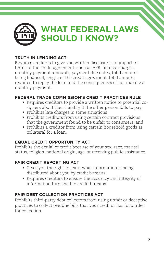

### **Truth in Lending Act**

Requires creditors to give you written disclosures of important terms of the credit agreement, such as APR, finance charges, monthly payment amounts, payment due dates, total amount being financed, length of the credit agreement, total amount required to repay the loan and the consequences of not making a monthly payment.

### **Federal Trade Commission's Credit Practices Rule**

- Requires creditors to provide a written notice to potential cosigners about their liability if the other person fails to pay;
- Prohibits late charges in some situations;
- Prohibits creditors from using certain contract provisions that the government found to be unfair to consumers; and
- Prohibits a creditor from using certain household goods as collateral for a loan.

### **Equal Credit Opportunity Act**

Prohibits the denial of credit because of your sex, race, marital status, religion, national origin, age, or receiving public assistance.

### **Fair Credit Reporting Act**

- Gives you the right to learn what information is being distributed about you by credit bureaus;
- Requires creditors to ensure the accuracy and integrity of information furnished to credit bureaus.

### **Fair Debt Collection Practices Act**

Prohibits third-party debt collectors from using unfair or deceptive practices to collect overdue bills that your creditor has forwarded for collection.